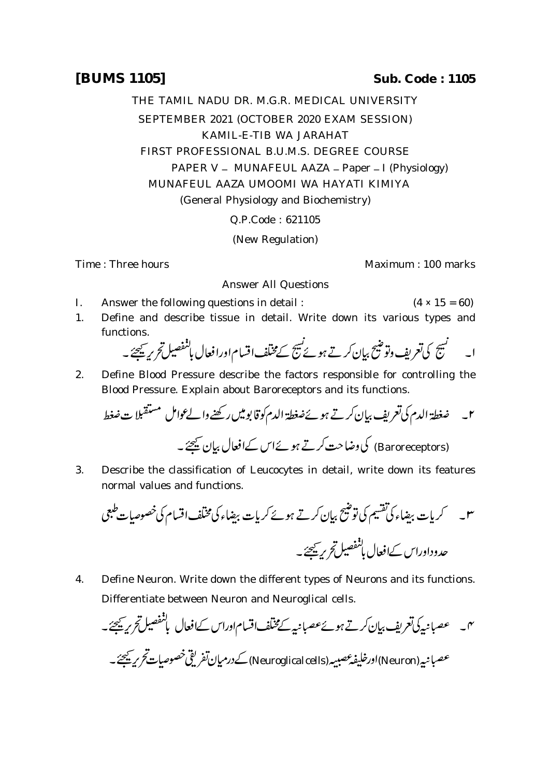THE TAMIL NADU DR. M.G.R. MEDICAL UNIVERSITY SEPTEMBER 2021 (OCTOBER 2020 EXAM SESSION) KAMIL-E-TIB WA JARAHAT FIRST PROFESSIONAL B.U.M.S. DEGREE COURSE PAPER V - MUNAFEUL AAZA - Paper - I (Physiology) MUNAFEUL AAZA UMOOMI WA HAYATI KIMIYA (General Physiology and Biochemistry)

Q.P.Code : 621105

(New Regulation)

Answer All Questions

Time : Three hours Maximum : 100 marks

- I. Answer the following questions in detail :  $(4 \times 15 = 60)$
- 1. Define and describe tissue in detail. Write down its various types and functions.

 

2. Define Blood Pressure describe the factors responsible for controlling the Blood Pressure. Explain about Baroreceptors and its functions.

 (Baroreceptors)

3. Describe the classification of Leucocytes in detail, write down its features normal values and functions.

 

4. Define Neuron. Write down the different types of Neurons and its functions. Differentiate between Neuron and Neuroglical cells.

۰۳ - عصبانيه كى تعريف بيان كرتے ہوئے عصبانيہ كے مختلف اقسام اوراس كے افعال با<sup>لمفصيل</sup> تحر*يد يحيي -*عصبانية (Neuron)اورخليفه عصبيه (Neuroglical cells) كے درميان تفريقي خصوصيات تحرير يحيجئه \_